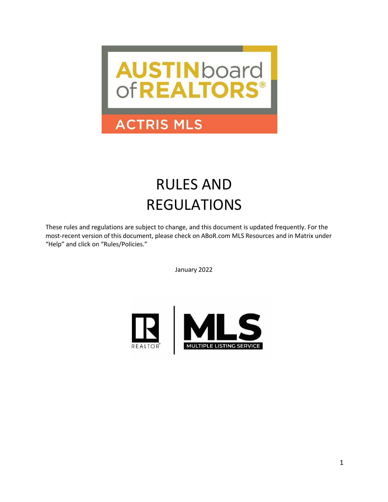

## **ACTRIS MLS**

# RULES AND REGULATIONS

These rules and regulations are subject to change, and this document is updated frequently. For the most-recent version of this document, please check on ABoR.com MLS Resources and in Matrix under "Help" and click on "Rules/Policies."

January 2022

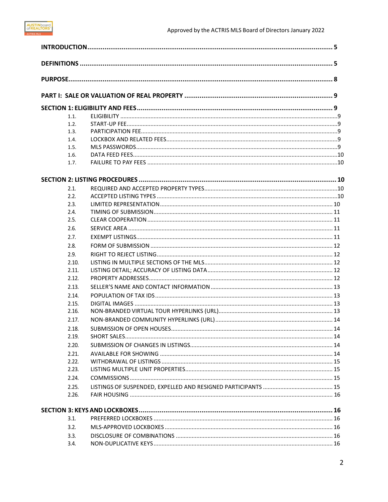| 1.1.  |  |
|-------|--|
| 1.2.  |  |
| 1.3.  |  |
| 1.4.  |  |
| 1.5.  |  |
| 1.6.  |  |
| 1.7.  |  |
|       |  |
| 2.1.  |  |
| 2.2.  |  |
| 2.3.  |  |
| 2.4.  |  |
| 2.5.  |  |
| 2.6.  |  |
| 2.7.  |  |
| 2.8.  |  |
| 2.9.  |  |
| 2.10. |  |
| 2.11. |  |
| 2.12. |  |
| 2.13. |  |
| 2.14. |  |
| 2.15. |  |
| 2.16. |  |
| 2.17. |  |
| 2.18. |  |
| 2.19. |  |
| 2.20. |  |
| 2.21. |  |
| 2.22. |  |
| 2.23. |  |
| 2.24. |  |
| 2.25. |  |
| 2.26. |  |
|       |  |
| 3.1.  |  |
| 3.2.  |  |
| 3.3.  |  |
| 3.4.  |  |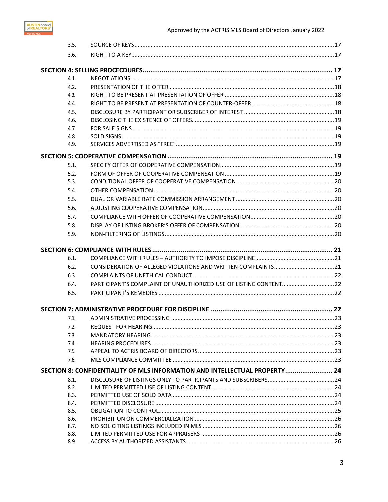

| 3.5.         |                                                                            |  |
|--------------|----------------------------------------------------------------------------|--|
| 3.6.         |                                                                            |  |
|              |                                                                            |  |
| 4.1.         |                                                                            |  |
| 4.2.         |                                                                            |  |
| 4.3.         |                                                                            |  |
| 4.4.         |                                                                            |  |
| 4.5.         |                                                                            |  |
| 4.6.         |                                                                            |  |
| 4.7.         |                                                                            |  |
| 4.8.         |                                                                            |  |
| 4.9.         |                                                                            |  |
|              |                                                                            |  |
| 5.1.         |                                                                            |  |
| 5.2.         |                                                                            |  |
| 5.3.         |                                                                            |  |
| 5.4.         |                                                                            |  |
| 5.5.         |                                                                            |  |
| 5.6.         |                                                                            |  |
| 5.7.         |                                                                            |  |
| 5.8.         |                                                                            |  |
| 5.9.         |                                                                            |  |
|              |                                                                            |  |
|              |                                                                            |  |
| 6.1.         |                                                                            |  |
| 6.2.         |                                                                            |  |
| 6.3.         |                                                                            |  |
| 6.4.         |                                                                            |  |
| 6.5.         |                                                                            |  |
|              |                                                                            |  |
| 7.1.         |                                                                            |  |
| 7.2.         |                                                                            |  |
| 7.3.         |                                                                            |  |
| 7.4.         |                                                                            |  |
| 7.5.         |                                                                            |  |
| 7.6.         |                                                                            |  |
|              | SECTION 8: CONFIDENTIALITY OF MLS INFORMATION AND INTELLECTUAL PROPERTY 24 |  |
| 8.1.         |                                                                            |  |
| 8.2.         |                                                                            |  |
| 8.3.         |                                                                            |  |
| 8.4.         |                                                                            |  |
| 8.5.         |                                                                            |  |
| 8.6.<br>8.7. |                                                                            |  |
| 8.8.         |                                                                            |  |
| 8.9.         |                                                                            |  |
|              |                                                                            |  |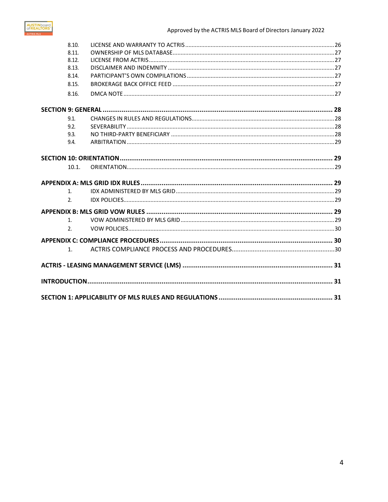

| 8.10.          |  |
|----------------|--|
| 8.11.          |  |
| 8.12.          |  |
| 8.13.          |  |
| 8.14.          |  |
| 8.15.          |  |
| 8.16.          |  |
|                |  |
| 9.1.           |  |
| 9.2.           |  |
| 9.3.           |  |
| 9.4.           |  |
|                |  |
| 10.1.          |  |
|                |  |
| 1.             |  |
| $\mathfrak{D}$ |  |
|                |  |
| 1.             |  |
| $\mathfrak{D}$ |  |
|                |  |
| $1_{-}$        |  |
|                |  |
|                |  |
|                |  |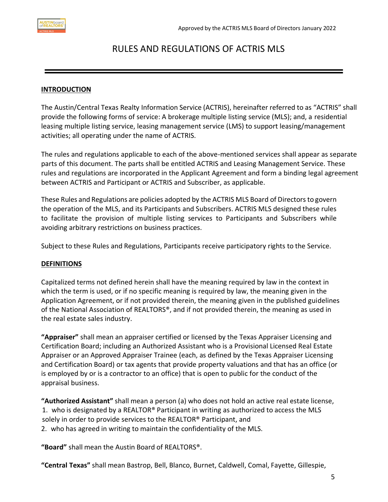## RULES AND REGULATIONS OF ACTRIS MLS

#### <span id="page-4-0"></span>**INTRODUCTION**

The Austin/Central Texas Realty Information Service (ACTRIS), hereinafter referred to as "ACTRIS" shall provide the following forms of service: A brokerage multiple listing service (MLS); and, a residential leasing multiple listing service, leasing management service (LMS) to support leasing/management activities; all operating under the name of ACTRIS.

The rules and regulations applicable to each of the above-mentioned services shall appear as separate parts of this document. The parts shall be entitled ACTRIS and Leasing Management Service. These rules and regulations are incorporated in the Applicant Agreement and form a binding legal agreement between ACTRIS and Participant or ACTRIS and Subscriber, as applicable.

These Rules and Regulations are policies adopted by the ACTRIS MLS Board of Directors to govern the operation of the MLS, and its Participants and Subscribers. ACTRIS MLS designed these rules to facilitate the provision of multiple listing services to Participants and Subscribers while avoiding arbitrary restrictions on business practices.

Subject to these Rules and Regulations, Participants receive participatory rights to the Service.

#### <span id="page-4-1"></span>**DEFINITIONS**

Capitalized terms not defined herein shall have the meaning required by law in the context in which the term is used, or if no specific meaning is required by law, the meaning given in the Application Agreement, or if not provided therein, the meaning given in the published guidelines of the National Association of REALTORS®, and if not provided therein, the meaning as used in the real estate sales industry.

**"Appraiser"** shall mean an appraiser certified or licensed by the Texas Appraiser Licensing and Certification Board; including an Authorized Assistant who is a Provisional Licensed Real Estate Appraiser or an Approved Appraiser Trainee (each, as defined by the Texas Appraiser Licensing and Certification Board) or tax agents that provide property valuations and that has an office (or is employed by or is a contractor to an office) that is open to public for the conduct of the appraisal business.

**"Authorized Assistant"** shall mean a person (a) who does not hold an active real estate license, 1. who is designated by a REALTOR® Participant in writing as authorized to access the MLS solely in order to provide services to the REALTOR® Participant, and 2. who has agreed in writing to maintain the confidentiality of the MLS.

**"Board"** shall mean the Austin Board of REALTORS®.

**"Central Texas"** shall mean Bastrop, Bell, Blanco, Burnet, Caldwell, Comal, Fayette, Gillespie,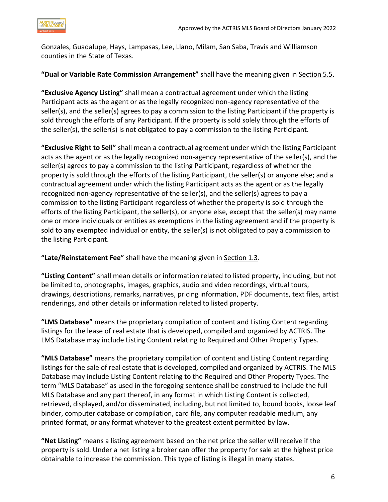Gonzales, Guadalupe, Hays, Lampasas, Lee, Llano, Milam, San Saba, Travis and Williamson counties in the State of Texas.

**"Dual or Variable Rate Commission Arrangement"** shall have the meaning given in Section 5.5.

**"Exclusive Agency Listing"** shall mean a contractual agreement under which the listing Participant acts as the agent or as the legally recognized non-agency representative of the seller(s), and the seller(s) agrees to pay a commission to the listing Participant if the property is sold through the efforts of any Participant. If the property is sold solely through the efforts of the seller(s), the seller(s) is not obligated to pay a commission to the listing Participant.

**"Exclusive Right to Sell"** shall mean a contractual agreement under which the listing Participant acts as the agent or as the legally recognized non-agency representative of the seller(s), and the seller(s) agrees to pay a commission to the listing Participant, regardless of whether the property is sold through the efforts of the listing Participant, the seller(s) or anyone else; and a contractual agreement under which the listing Participant acts as the agent or as the legally recognized non-agency representative of the seller(s), and the seller(s) agrees to pay a commission to the listing Participant regardless of whether the property is sold through the efforts of the listing Participant, the seller(s), or anyone else, except that the seller(s) may name one or more individuals or entities as exemptions in the listing agreement and if the property is sold to any exempted individual or entity, the seller(s) is not obligated to pay a commission to the listing Participant.

**"Late/Reinstatement Fee"** shall have the meaning given in Section 1.3.

**"Listing Content"** shall mean details or information related to listed property, including, but not be limited to, photographs, images, graphics, audio and video recordings, virtual tours, drawings, descriptions, remarks, narratives, pricing information, PDF documents, text files, artist renderings, and other details or information related to listed property.

**"LMS Database"** means the proprietary compilation of content and Listing Content regarding listings for the lease of real estate that is developed, compiled and organized by ACTRIS. The LMS Database may include Listing Content relating to Required and Other Property Types.

**"MLS Database"** means the proprietary compilation of content and Listing Content regarding listings for the sale of real estate that is developed, compiled and organized by ACTRIS. The MLS Database may include Listing Content relating to the Required and Other Property Types. The term "MLS Database" as used in the foregoing sentence shall be construed to include the full MLS Database and any part thereof, in any format in which Listing Content is collected, retrieved, displayed, and/or disseminated, including, but not limited to, bound books, loose leaf binder, computer database or compilation, card file, any computer readable medium, any printed format, or any format whatever to the greatest extent permitted by law.

**"Net Listing"** means a listing agreement based on the net price the seller will receive if the property is sold. Under a net listing a broker can offer the property for sale at the highest price obtainable to increase the commission. This type of listing is illegal in many states.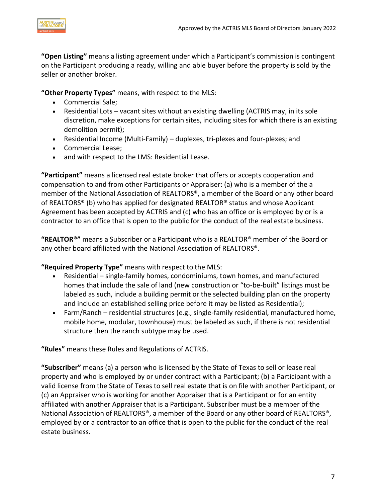

**"Open Listing"** means a listing agreement under which a Participant's commission is contingent on the Participant producing a ready, willing and able buyer before the property is sold by the seller or another broker.

**"Other Property Types"** means, with respect to the MLS:

- Commercial Sale;
- Residential Lots vacant sites without an existing dwelling (ACTRIS may, in its sole discretion, make exceptions for certain sites, including sites for which there is an existing demolition permit);
- Residential Income (Multi-Family) duplexes, tri-plexes and four-plexes; and
- Commercial Lease;
- and with respect to the LMS: Residential Lease.

**"Participant"** means a licensed real estate broker that offers or accepts cooperation and compensation to and from other Participants or Appraiser: (a) who is a member of the a member of the National Association of REALTORS®, a member of the Board or any other board of REALTORS® (b) who has applied for designated REALTOR® status and whose Applicant Agreement has been accepted by ACTRIS and (c) who has an office or is employed by or is a contractor to an office that is open to the public for the conduct of the real estate business.

**"REALTOR®"** means a Subscriber or a Participant who is a REALTOR® member of the Board or any other board affiliated with the National Association of REALTORS®.

**"Required Property Type"** means with respect to the MLS:

- Residential single-family homes, condominiums, town homes, and manufactured homes that include the sale of land (new construction or "to-be-built" listings must be labeled as such, include a building permit or the selected building plan on the property and include an established selling price before it may be listed as Residential);
- Farm/Ranch residential structures (e.g., single-family residential, manufactured home, mobile home, modular, townhouse) must be labeled as such, if there is not residential structure then the ranch subtype may be used.

**"Rules"** means these Rules and Regulations of ACTRIS.

**"Subscriber"** means (a) a person who is licensed by the State of Texas to sell or lease real property and who is employed by or under contract with a Participant; (b) a Participant with a valid license from the State of Texas to sell real estate that is on file with another Participant, or (c) an Appraiser who is working for another Appraiser that is a Participant or for an entity affiliated with another Appraiser that is a Participant. Subscriber must be a member of the National Association of REALTORS®, a member of the Board or any other board of REALTORS®, employed by or a contractor to an office that is open to the public for the conduct of the real estate business.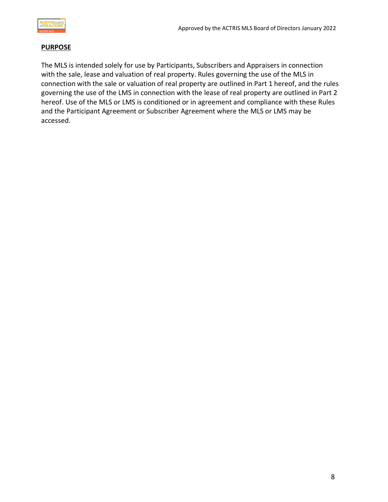

#### <span id="page-7-0"></span>**PURPOSE**

The MLS is intended solely for use by Participants, Subscribers and Appraisers in connection with the sale, lease and valuation of real property. Rules governing the use of the MLS in connection with the sale or valuation of real property are outlined in Part 1 hereof, and the rules governing the use of the LMS in connection with the lease of real property are outlined in Part 2 hereof. Use of the MLS or LMS is conditioned or in agreement and compliance with these Rules and the Participant Agreement or Subscriber Agreement where the MLS or LMS may be accessed.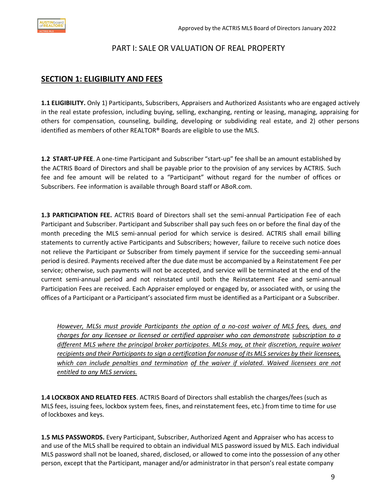#### PART I: SALE OR VALUATION OF REAL PROPERTY

#### <span id="page-8-1"></span><span id="page-8-0"></span>**SECTION 1: ELIGIBILITY AND FEES**

**1.1 ELIGIBILITY.** Only 1) Participants, Subscribers, Appraisers and Authorized Assistants who are engaged actively in the real estate profession, including buying, selling, exchanging, renting or leasing, managing, appraising for others for compensation, counseling, building, developing or subdividing real estate, and 2) other persons identified as members of other REALTOR® Boards are eligible to use the MLS.

**1.2 START-UP FEE**. A one-time Participant and Subscriber "start-up" fee shall be an amount established by the ACTRIS Board of Directors and shall be payable prior to the provision of any services by ACTRIS. Such fee and fee amount will be related to a "Participant" without regard for the number of offices or Subscribers. Fee information is available through Board staff or ABoR.com.

**1.3 PARTICIPATION FEE.** ACTRIS Board of Directors shall set the semi-annual Participation Fee of each Participant and Subscriber. Participant and Subscriber shall pay such fees on or before the final day of the month preceding the MLS semi-annual period for which service is desired. ACTRIS shall email billing statements to currently active Participants and Subscribers; however, failure to receive such notice does not relieve the Participant or Subscriber from timely payment if service for the succeeding semi-annual period is desired. Payments received after the due date must be accompanied by a Reinstatement Fee per service; otherwise, such payments will not be accepted, and service will be terminated at the end of the current semi-annual period and not reinstated until both the Reinstatement Fee and semi-annual Participation Fees are received. Each Appraiser employed or engaged by, or associated with, or using the offices of a Participant or a Participant's associated firm must be identified as a Participant or a Subscriber.

*However, MLSs must provide Participants the option of a no-cost waiver of MLS fees, dues, and charges for any licensee or licensed or certified appraiser who can demonstrate subscription to a different MLS where the principal broker participates. MLSs may, at their discretion, require waiver* recipients and their Participants to sign a certification for nonuse of its MLS services by their licensees, *which can include penalties and termination of the waiver if violated. Waived licensees are not entitled to any MLS services.*

**1.4 LOCKBOX AND RELATED FEES**. ACTRIS Board of Directors shall establish the charges/fees (such as MLS fees, issuing fees, lockbox system fees, fines, and reinstatement fees, etc.) from time to time for use of lockboxes and keys.

**1.5 MLS PASSWORDS.** Every Participant, Subscriber, Authorized Agent and Appraiser who has access to and use of the MLS shall be required to obtain an individual MLS password issued by MLS. Each individual MLS password shall not be loaned, shared, disclosed, or allowed to come into the possession of any other person, except that the Participant, manager and/or administrator in that person's real estate company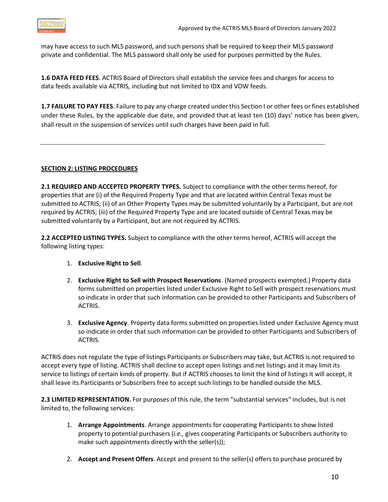

may have access to such MLS password, and such persons shall be required to keep their MLS password private and confidential. The MLS password shall only be used for purposes permitted by the Rules.

**1.6 DATA FEED FEES**. ACTRIS Board of Directors shall establish the service fees and charges for access to data feeds available via ACTRIS, including but not limited to IDX and VOW feeds.

**1.7 FAILURE TO PAY FEES**. Failure to pay any charge created underthis Section I or other fees or fines established under these Rules, by the applicable due date, and provided that at least ten (10) days' notice has been given, shall result in the suspension of services until such charges have been paid in full.

#### <span id="page-9-0"></span>**SECTION 2: LISTING PROCEDURES**

**2.1 REQUIRED AND ACCEPTED PROPERTY TYPES.** Subject to compliance with the other terms hereof, for properties that are (i) of the Required Property Type and that are located within Central Texas must be submitted to ACTRIS; (ii) of an Other Property Types may be submitted voluntarily by a Participant, but are not required by ACTRIS; (iii) of the Required Property Type and are located outside of Central Texas may be submitted voluntarily by a Participant, but are not required by ACTRIS.

**2.2 ACCEPTED LISTING TYPES.** Subject to compliance with the other terms hereof, ACTRIS will accept the following listing types:

- 1. **Exclusive Right to Sell**.
- 2. **Exclusive Right to Sell with Prospect Reservations**. (Named prospects exempted.) Property data forms submitted on properties listed under Exclusive Right to Sell with prospect reservations must so indicate in order that such information can be provided to other Participants and Subscribers of ACTRIS.
- 3. **Exclusive Agency**. Property data forms submitted on properties listed under Exclusive Agency must so indicate in order that such information can be provided to other Participants and Subscribers of ACTRIS.

ACTRIS does not regulate the type of listings Participants or Subscribers may take, but ACTRIS is not required to accept every type of listing. ACTRIS shall decline to accept open listings and net listings and it may limit its service to listings of certain kinds of property. But if ACTRIS chooses to limit the kind of listings it will accept, it shall leave its Participants or Subscribers free to accept such listings to be handled outside the MLS.

**2.3 LIMITED REPRESENTATION.** For purposes of this rule, the term "substantial services" includes, but is not limited to, the following services:

- 1. **Arrange Appointments**. Arrange appointments for cooperating Participants to show listed property to potential purchasers (*i.e.,* gives cooperating Participants or Subscribers authority to make such appointments directly with the seller(s));
- 2. **Accept and Present Offers**. Accept and present to the seller(s) offers to purchase procured by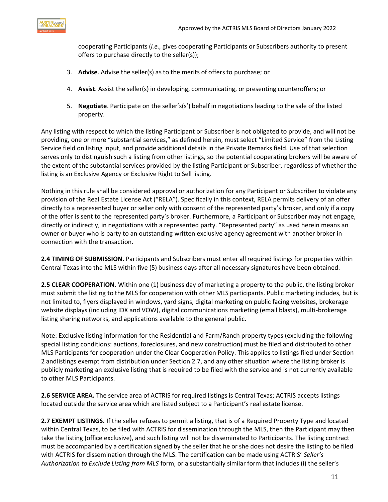

cooperating Participants (*i.e.,* gives cooperating Participants or Subscribers authority to present offers to purchase directly to the seller(s));

- 3. **Advise**. Advise the seller(s) as to the merits of offers to purchase; or
- 4. **Assist**. Assist the seller(s) in developing, communicating, or presenting counteroffers; or
- 5. **Negotiate**. Participate on the seller's(s') behalf in negotiations leading to the sale of the listed property.

Any listing with respect to which the listing Participant or Subscriber is not obligated to provide, and will not be providing, one or more "substantial services," as defined herein, must select "Limited Service" from the Listing Service field on listing input, and provide additional details in the Private Remarks field. Use of that selection serves only to distinguish such a listing from other listings, so the potential cooperating brokers will be aware of the extent of the substantial services provided by the listing Participant or Subscriber, regardless of whether the listing is an Exclusive Agency or Exclusive Right to Sell listing.

Nothing in this rule shall be considered approval or authorization for any Participant or Subscriber to violate any provision of the Real Estate License Act ("RELA"). Specifically in this context, RELA permits delivery of an offer directly to a represented buyer or seller only with consent of the represented party's broker, and only if a copy of the offer is sent to the represented party's broker. Furthermore, a Participant or Subscriber may not engage, directly or indirectly, in negotiations with a represented party. "Represented party" as used herein means an owner or buyer who is party to an outstanding written exclusive agency agreement with another broker in connection with the transaction.

**2.4 TIMING OF SUBMISSION.** Participants and Subscribers must enter all required listings for properties within Central Texas into the MLS within five (5) business days after all necessary signatures have been obtained.

**2.5 CLEAR COOPERATION.** Within one (1) business day of marketing a property to the public, the listing broker must submit the listing to the MLS for cooperation with other MLS participants. Public marketing includes, but is not limited to, flyers displayed in windows, yard signs, digital marketing on public facing websites, brokerage website displays (including IDX and VOW), digital communications marketing (email blasts), multi-brokerage listing sharing networks, and applications available to the general public.

Note: Exclusive listing information for the Residential and Farm/Ranch property types (excluding the following special listing conditions: auctions, foreclosures, and new construction) must be filed and distributed to other MLS Participants for cooperation under the Clear Cooperation Policy. This applies to listings filed under Section 2 andlistings exempt from distribution under Section 2.7, and any other situation where the listing broker is publicly marketing an exclusive listing that is required to be filed with the service and is not currently available to other MLS Participants.

**2.6 SERVICE AREA.** The service area of ACTRIS for required listings is Central Texas; ACTRIS accepts listings located outside the service area which are listed subject to a Participant's real estate license.

**2.7 EXEMPT LISTINGS.** If the seller refuses to permit a listing, that is of a Required Property Type and located within Central Texas, to be filed with ACTRIS for dissemination through the MLS, then the Participant may then take the listing (office exclusive), and such listing will not be disseminated to Participants. The listing contract must be accompanied by a certification signed by the seller that he or she does not desire the listing to be filed with ACTRIS for dissemination through the MLS. The certification can be made using ACTRIS' *Seller's Authorization to Exclude Listing from MLS* form, or a substantially similar form that includes (i) the seller's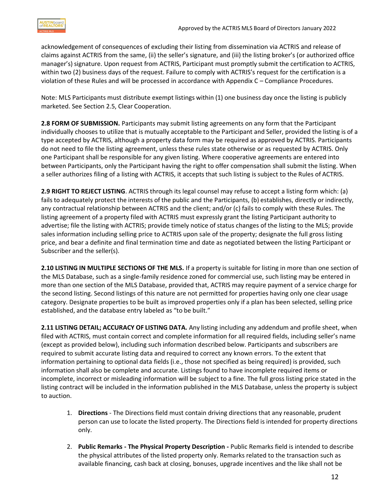

acknowledgement of consequences of excluding their listing from dissemination via ACTRIS and release of claims against ACTRIS from the same, (ii) the seller's signature, and (iii) the listing broker's (or authorized office manager's) signature. Upon request from ACTRIS, Participant must promptly submit the certification to ACTRIS, within two (2) business days of the request. Failure to comply with ACTRIS's request for the certification is a violation of these Rules and will be processed in accordance with Appendix C – Compliance Procedures.

Note: MLS Participants must distribute exempt listings within (1) one business day once the listing is publicly marketed. See Section 2.5, Clear Cooperation.

**2.8 FORM OF SUBMISSION.** Participants may submit listing agreements on any form that the Participant individually chooses to utilize that is mutually acceptable to the Participant and Seller, provided the listing is of a type accepted by ACTRIS, although a property data form may be required as approved by ACTRIS. Participants do not need to file the listing agreement, unless these rules state otherwise or as requested by ACTRIS. Only one Participant shall be responsible for any given listing. Where cooperative agreements are entered into between Participants, only the Participant having the right to offer compensation shall submit the listing. When a seller authorizes filing of a listing with ACTRIS, it accepts that such listing is subject to the Rules of ACTRIS.

**2.9 RIGHT TO REJECT LISTING**. ACTRIS through its legal counsel may refuse to accept a listing form which: (a) fails to adequately protect the interests of the public and the Participants, (b) establishes, directly or indirectly, any contractual relationship between ACTRIS and the client; and/or (c) fails to comply with these Rules. The listing agreement of a property filed with ACTRIS must expressly grant the listing Participant authority to advertise; file the listing with ACTRIS; provide timely notice of status changes of the listing to the MLS; provide sales information including selling price to ACTRIS upon sale of the property; designate the full gross listing price, and bear a definite and final termination time and date as negotiated between the listing Participant or Subscriber and the seller(s).

**2.10 LISTING IN MULTIPLE SECTIONS OF THE MLS.** If a property is suitable for listing in more than one section of the MLS Database, such as a single-family residence zoned for commercial use, such listing may be entered in more than one section of the MLS Database, provided that, ACTRIS may require payment of a service charge for the second listing. Second listings of this nature are not permitted for properties having only one clear usage category. Designate properties to be built as improved properties only if a plan has been selected, selling price established, and the database entry labeled as "to be built."

**2.11 LISTING DETAIL; ACCURACY OF LISTING DATA.** Any listing including any addendum and profile sheet, when filed with ACTRIS, must contain correct and complete information for all required fields, including seller's name (except as provided below), including such information described below. Participants and subscribers are required to submit accurate listing data and required to correct any known errors. To the extent that information pertaining to optional data fields (i.e., those not specified as being required) is provided, such information shall also be complete and accurate. Listings found to have incomplete required items or incomplete, incorrect or misleading information will be subject to a fine. The full gross listing price stated in the listing contract will be included in the information published in the MLS Database, unless the property is subject to auction.

- 1. **Directions**  The Directions field must contain driving directions that any reasonable, prudent person can use to locate the listed property. The Directions field is intended for property directions only.
- 2. **Public Remarks - The Physical Property Description -** Public Remarks field is intended to describe the physical attributes of the listed property only. Remarks related to the transaction such as available financing, cash back at closing, bonuses, upgrade incentives and the like shall not be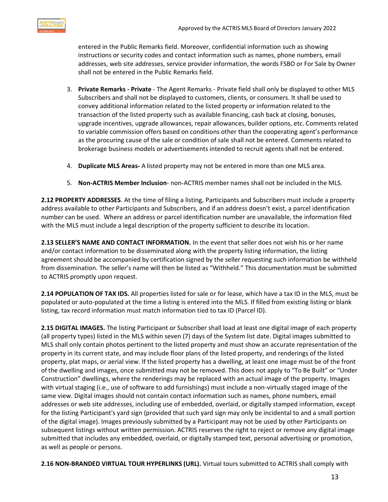

entered in the Public Remarks field. Moreover, confidential information such as showing instructions or security codes and contact information such as names, phone numbers, email addresses, web site addresses, service provider information, the words FSBO or For Sale by Owner shall not be entered in the Public Remarks field.

- 3. **Private Remarks - Private**  The Agent Remarks Private field shall only be displayed to other MLS Subscribers and shall not be displayed to customers, clients, or consumers. It shall be used to convey additional information related to the listed property or information related to the transaction of the listed property such as available financing, cash back at closing, bonuses, upgrade incentives, upgrade allowances, repair allowances, builder options, etc. Comments related to variable commission offers based on conditions other than the cooperating agent's performance as the procuring cause of the sale or condition of sale shall not be entered. Comments related to brokerage business models or advertisements intended to recruit agents shall not be entered.
- 4. **Duplicate MLS Areas-** A listed property may not be entered in more than one MLS area.
- 5. **Non-ACTRIS Member Inclusion** non-ACTRIS member names shall not be included in the MLS.

**2.12 PROPERTY ADDRESSES**. At the time of filing a listing, Participants and Subscribers must include a property address available to other Participants and Subscribers, and if an address doesn't exist, a parcel identification number can be used. Where an address or parcel identification number are unavailable, the information filed with the MLS must include a legal description of the property sufficient to describe its location.

**2.13 SELLER'S NAME AND CONTACT INFORMATION.** In the event that seller does not wish his or her name and/or contact information to be disseminated along with the property listing information, the listing agreement should be accompanied by certification signed by the seller requesting such information be withheld from dissemination. The seller's name will then be listed as "Withheld." This documentation must be submitted to ACTRIS promptly upon request.

**2.14 POPULATION OF TAX IDS.** All properties listed for sale or for lease, which have a tax ID in the MLS, must be populated or auto-populated at the time a listing is entered into the MLS. If filled from existing listing or blank listing, tax record information must match information tied to tax ID (Parcel ID).

**2.15 DIGITAL IMAGES.** The listing Participant or Subscriber shall load at least one digital image of each property (all property types) listed in the MLS within seven (7) days of the System list date. Digital images submitted to MLS shall only contain photos pertinent to the listed property and must show an accurate representation of the property in its current state, and may include floor plans of the listed property, and renderings of the listed property, plat maps, or aerial view. If the listed property has a dwelling, at least one image must be of the front of the dwelling and images, once submitted may not be removed. This does not apply to "To Be Built" or "Under Construction" dwellings, where the renderings may be replaced with an actual image of the property. Images with virtual staging (i.e., use of software to add furnishings) must include a non-virtually staged image of the same view. Digital images should not contain contact information such as names, phone numbers, email addresses or web site addresses, including use of embedded, overlaid, or digitally stamped information, except for the listing Participant's yard sign (provided that such yard sign may only be incidental to and a small portion of the digital image). Images previously submitted by a Participant may not be used by other Participants on subsequent listings without written permission. ACTRIS reserves the right to reject or remove any digital image submitted that includes any embedded, overlaid, or digitally stamped text, personal advertising or promotion, as well as people or persons.

**2.16 NON-BRANDED VIRTUAL TOUR HYPERLINKS (URL).** Virtual tours submitted to ACTRIS shall comply with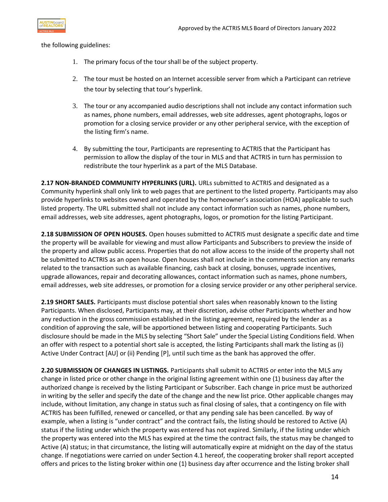

the following guidelines:

- 1. The primary focus of the tourshall be of the subject property.
- 2. The tour must be hosted on an Internet accessible server from which a Participant can retrieve the tour by selecting that tour's hyperlink.
- 3. The tour or any accompanied audio descriptions shall not include any contact information such as names, phone numbers, email addresses, web site addresses, agent photographs, logos or promotion for a closing service provider or any other peripheral service, with the exception of the listing firm's name.
- 4. By submitting the tour, Participants are representing to ACTRIS that the Participant has permission to allow the display of the tour in MLS and that ACTRIS in turn has permission to redistribute the tour hyperlink as a part of the MLS Database.

2.17 **NON-BRANDED COMMUNITY HYPERLINKS (URL).** URLs submitted to ACTRIS and designated as a Community hyperlink shall only link to web pages that are pertinent to the listed property. Participants may also provide hyperlinks to websites owned and operated by the homeowner's association (HOA) applicable to such listed property. The URL submitted shall not include any contact information such as names, phone numbers, email addresses, web site addresses, agent photographs, logos, or promotion for the listing Participant.

**2.18 SUBMISSION OF OPEN HOUSES.** Open houses submitted to ACTRIS must designate a specific date and time the property will be available for viewing and must allow Participants and Subscribers to preview the inside of the property and allow public access. Properties that do not allow access to the inside of the property shall not be submitted to ACTRIS as an open house. Open houses shall not include in the comments section any remarks related to the transaction such as available financing, cash back at closing, bonuses, upgrade incentives, upgrade allowances, repair and decorating allowances, contact information such as names, phone numbers, email addresses, web site addresses, or promotion for a closing service provider or any other peripheral service.

**2.19 SHORT SALES.** Participants must disclose potential short sales when reasonably known to the listing Participants. When disclosed, Participants may, at their discretion, advise other Participants whether and how any reduction in the gross commission established in the listing agreement, required by the lender as a condition of approving the sale, will be apportioned between listing and cooperating Participants. Such disclosure should be made in the MLS by selecting "Short Sale" under the Special Listing Conditions field. When an offer with respect to a potential short sale is accepted, the listing Participants shall mark the listing as (i) Active Under Contract [AU] or (ii) Pending [P], until such time as the bank has approved the offer.

**2.20 SUBMISSION OF CHANGES IN LISTINGS.** Participants shall submit to ACTRIS or enter into the MLS any change in listed price or other change in the original listing agreement within one (1) business day after the authorized change is received by the listing Participant or Subscriber. Each change in price must be authorized in writing by the seller and specify the date of the change and the new list price. Other applicable changes may include, without limitation, any change in status such as final closing of sales, that a contingency on file with ACTRIS has been fulfilled, renewed or cancelled, or that any pending sale has been cancelled. By way of example, when a listing is "under contract" and the contract fails, the listing should be restored to Active (A) status if the listing under which the property was entered has not expired. Similarly, if the listing under which the property was entered into the MLS has expired at the time the contract fails, the status may be changed to Active (A) status; in that circumstance, the listing will automatically expire at midnight on the day of the status change. If negotiations were carried on under Section 4.1 hereof, the cooperating broker shall report accepted offers and prices to the listing broker within one (1) business day after occurrence and the listing broker shall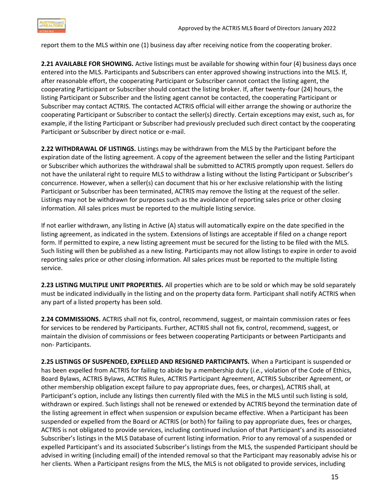

report them to the MLS within one (1) business day after receiving notice from the cooperating broker.

**2.21 AVAILABLE FOR SHOWING.** Active listings must be available for showing within four (4) business days once entered into the MLS. Participants and Subscribers can enter approved showing instructions into the MLS. If, after reasonable effort, the cooperating Participant or Subscriber cannot contact the listing agent, the cooperating Participant or Subscriber should contact the listing broker. If, after twenty-four (24) hours, the listing Participant or Subscriber and the listing agent cannot be contacted, the cooperating Participant or Subscriber may contact ACTRIS. The contacted ACTRIS official will either arrange the showing or authorize the cooperating Participant or Subscriber to contact the seller(s) directly. Certain exceptions may exist, such as, for example, if the listing Participant or Subscriber had previously precluded such direct contact by the cooperating Participant or Subscriber by direct notice or e-mail.

**2.22 WITHDRAWAL OF LISTINGS.** Listings may be withdrawn from the MLS by the Participant before the expiration date of the listing agreement. A copy of the agreement between the seller and the listing Participant or Subscriber which authorizes the withdrawal shall be submitted to ACTRIS promptly upon request. Sellers do not have the unilateral right to require MLS to withdraw a listing without the listing Participant or Subscriber's concurrence. However, when a seller(s) can document that his or her exclusive relationship with the listing Participant or Subscriber has been terminated, ACTRIS may remove the listing at the request of the seller. Listings may not be withdrawn for purposes such as the avoidance of reporting sales price or other closing information. All sales prices must be reported to the multiple listing service.

If not earlier withdrawn, any listing in Active (A) status will automatically expire on the date specified in the listing agreement, as indicated in the system. Extensions of listings are acceptable if filed on a change report form. If permitted to expire, a new listing agreement must be secured for the listing to be filed with the MLS. Such listing will then be published as a new listing. Participants may not allow listings to expire in order to avoid reporting sales price or other closing information. All sales prices must be reported to the multiple listing service.

**2.23 LISTING MULTIPLE UNIT PROPERTIES.** All properties which are to be sold or which may be sold separately must be indicated individually in the listing and on the property data form. Participant shall notify ACTRIS when any part of a listed property has been sold.

**2.24 COMMISSIONS.** ACTRIS shall not fix, control, recommend, suggest, or maintain commission rates or fees for services to be rendered by Participants. Further, ACTRIS shall not fix, control, recommend, suggest, or maintain the division of commissions or fees between cooperating Participants or between Participants and non- Participants.

**2.25 LISTINGS OF SUSPENDED, EXPELLED AND RESIGNED PARTICIPANTS.** When a Participant is suspended or has been expelled from ACTRIS for failing to abide by a membership duty (*i.e.*, violation of the Code of Ethics, Board Bylaws, ACTRIS Bylaws, ACTRIS Rules, ACTRIS Participant Agreement, ACTRIS Subscriber Agreement, or other membership obligation except failure to pay appropriate dues, fees, or charges), ACTRIS shall, at Participant's option, include any listings then currently filed with the MLS in the MLS until such listing is sold, withdrawn or expired. Such listings shall not be renewed or extended by ACTRIS beyond the termination date of the listing agreement in effect when suspension or expulsion became effective. When a Participant has been suspended or expelled from the Board or ACTRIS (or both) for failing to pay appropriate dues, fees or charges, ACTRIS is not obligated to provide services, including continued inclusion of that Participant's and its associated Subscriber's listings in the MLS Database of current listing information. Prior to any removal of a suspended or expelled Participant's and its associated Subscriber's listings from the MLS, the suspended Participant should be advised in writing (including email) of the intended removal so that the Participant may reasonably advise his or her clients. When a Participant resigns from the MLS, the MLS is not obligated to provide services, including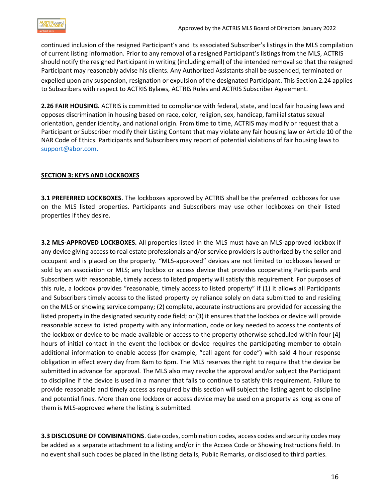

continued inclusion of the resigned Participant's and its associated Subscriber's listings in the MLS compilation of current listing information. Prior to any removal of a resigned Participant's listings from the MLS, ACTRIS should notify the resigned Participant in writing (including email) of the intended removal so that the resigned Participant may reasonably advise his clients. Any Authorized Assistants shall be suspended, terminated or expelled upon any suspension, resignation or expulsion of the designated Participant. This Section 2.24 applies to Subscribers with respect to ACTRIS Bylaws, ACTRIS Rules and ACTRIS Subscriber Agreement.

**2.26 FAIR HOUSING.** ACTRIS is committed to compliance with federal, state, and local fair housing laws and opposes discrimination in housing based on race, color, religion, sex, handicap, familial status sexual orientation, gender identity, and national origin. From time to time, ACTRIS may modify or request that a Participant or Subscriber modify their Listing Content that may violate any fair housing law or Article 10 of the NAR Code of Ethics. Participants and Subscribers may report of potential violations of fair housing laws to [support@abor.com.](mailto:mlsdata@abor.com)

#### <span id="page-15-0"></span>**SECTION 3: KEYS AND LOCKBOXES**

**3.1 PREFERRED LOCKBOXES**. The lockboxes approved by ACTRIS shall be the preferred lockboxes for use on the MLS listed properties. Participants and Subscribers may use other lockboxes on their listed properties if they desire.

**3.2 MLS-APPROVED LOCKBOXES.** All properties listed in the MLS must have an MLS-approved lockbox if any device giving access to real estate professionals and/orservice providers is authorized by the seller and occupant and is placed on the property. "MLS-approved" devices are not limited to lockboxes leased or sold by an association or MLS; any lockbox or access device that provides cooperating Participants and Subscribers with reasonable, timely access to listed property will satisfy this requirement. For purposes of this rule, a lockbox provides "reasonable, timely access to listed property" if (1) it allows all Participants and Subscribers timely access to the listed property by reliance solely on data submitted to and residing on the MLS or showing service company; (2) complete, accurate instructions are provided for accessing the listed property in the designated security code field; or (3) it ensures that the lockbox or device will provide reasonable access to listed property with any information, code or key needed to access the contents of the lockbox or device to be made available or access to the property otherwise scheduled within four [4] hours of initial contact in the event the lockbox or device requires the participating member to obtain additional information to enable access (for example, "call agent for code") with said 4 hour response obligation in effect every day from 8am to 6pm. The MLS reserves the right to require that the device be submitted in advance for approval. The MLS also may revoke the approval and/or subject the Participant to discipline if the device is used in a manner that fails to continue to satisfy this requirement. Failure to provide reasonable and timely access as required by this section will subject the listing agent to discipline and potential fines. More than one lockbox or access device may be used on a property as long as one of them is MLS-approved where the listing is submitted.

**3.3 DISCLOSURE OF COMBINATIONS**. Gate codes, combination codes, access codes and security codes may be added as a separate attachment to a listing and/or in the Access Code or Showing Instructions field. In no event shall such codes be placed in the listing details, Public Remarks, or disclosed to third parties.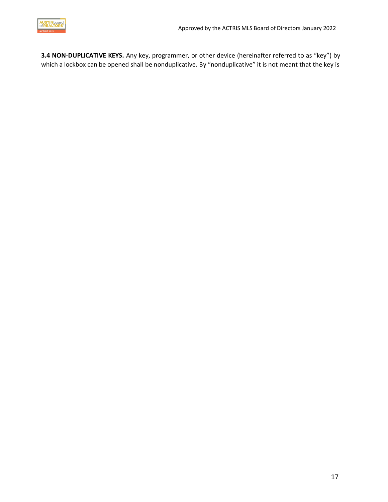

**3.4 NON-DUPLICATIVE KEYS.** Any key, programmer, or other device (hereinafter referred to as "key") by which a lockbox can be opened shall be nonduplicative. By "nonduplicative" it is not meant that the key is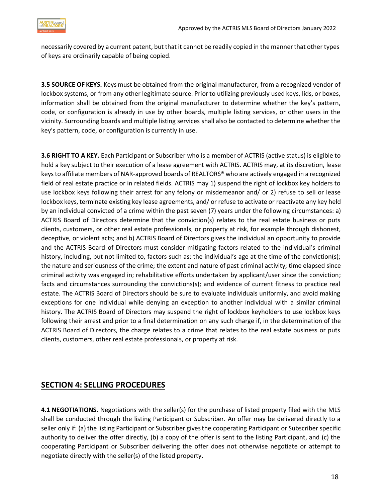

necessarily covered by a current patent, but that it cannot be readily copied in the mannerthat other types of keys are ordinarily capable of being copied.

**3.5 SOURCE OF KEYS.** Keys must be obtained from the original manufacturer, from a recognized vendor of lockbox systems, or from any other legitimate source. Prior to utilizing previously used keys, lids, or boxes, information shall be obtained from the original manufacturer to determine whether the key's pattern, code, or configuration is already in use by other boards, multiple listing services, or other users in the vicinity. Surrounding boards and multiple listing services shall also be contacted to determine whether the key's pattern, code, or configuration is currently in use.

**3.6 RIGHT TO A KEY.** Each Participant or Subscriber who is a member of ACTRIS (active status) is eligible to hold a key subject to their execution of a lease agreement with ACTRIS. ACTRIS may, at its discretion, lease keysto affiliate members of NAR-approved boards of REALTORS® who are actively engaged in a recognized field of real estate practice or in related fields. ACTRIS may 1) suspend the right of lockbox key holders to use lockbox keys following their arrest for any felony or misdemeanor and/ or 2) refuse to sell or lease lockbox keys, terminate existing key lease agreements, and/ or refuse to activate or reactivate any key held by an individual convicted of a crime within the past seven (7) years under the following circumstances: a) ACTRIS Board of Directors determine that the conviction(s) relates to the real estate business or puts clients, customers, or other real estate professionals, or property at risk, for example through dishonest, deceptive, or violent acts; and b) ACTRIS Board of Directors gives the individual an opportunity to provide and the ACTRIS Board of Directors must consider mitigating factors related to the individual's criminal history, including, but not limited to, factors such as: the individual's age at the time of the conviction(s); the nature and seriousness of the crime; the extent and nature of past criminal activity; time elapsed since criminal activity was engaged in; rehabilitative efforts undertaken by applicant/user since the conviction; facts and circumstances surrounding the convictions(s); and evidence of current fitness to practice real estate. The ACTRIS Board of Directors should be sure to evaluate individuals uniformly, and avoid making exceptions for one individual while denying an exception to another individual with a similar criminal history. The ACTRIS Board of Directors may suspend the right of lockbox keyholders to use lockbox keys following their arrest and prior to a final determination on any such charge if, in the determination of the ACTRIS Board of Directors, the charge relates to a crime that relates to the real estate business or puts clients, customers, other real estate professionals, or property at risk.

## **SECTION 4: SELLING PROCEDURES**

**4.1 NEGOTIATIONS.** Negotiations with the seller(s) for the purchase of listed property filed with the MLS shall be conducted through the listing Participant or Subscriber. An offer may be delivered directly to a seller only if: (a) the listing Participant or Subscriber givesthe cooperating Participant or Subscriber specific authority to deliver the offer directly, (b) a copy of the offer is sent to the listing Participant, and (c) the cooperating Participant or Subscriber delivering the offer does not otherwise negotiate or attempt to negotiate directly with the seller(s) of the listed property.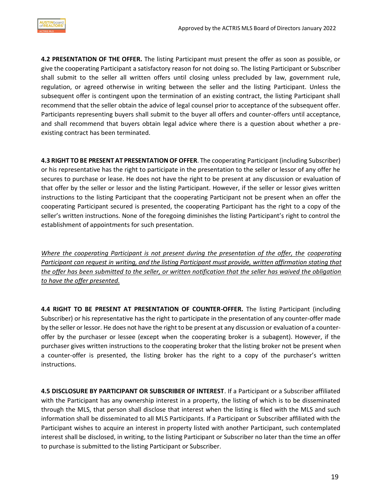

**4.2 PRESENTATION OF THE OFFER.** The listing Participant must present the offer as soon as possible, or give the cooperating Participant a satisfactory reason for not doing so. The listing Participant or Subscriber shall submit to the seller all written offers until closing unless precluded by law, government rule, regulation, or agreed otherwise in writing between the seller and the listing Participant. Unless the subsequent offer is contingent upon the termination of an existing contract, the listing Participant shall recommend that the seller obtain the advice of legal counsel prior to acceptance of the subsequent offer. Participants representing buyers shall submit to the buyer all offers and counter-offers until acceptance, and shall recommend that buyers obtain legal advice where there is a question about whether a preexisting contract has been terminated.

**4.3 RIGHT TOBE PRESENT AT PRESENTATIONOF OFFER**. The cooperating Participant (including Subscriber) or his representative has the right to participate in the presentation to the seller or lessor of any offer he secures to purchase or lease. He does not have the right to be present at any discussion or evaluation of that offer by the seller or lessor and the listing Participant. However, if the seller or lessor gives written instructions to the listing Participant that the cooperating Participant not be present when an offer the cooperating Participant secured is presented, the cooperating Participant has the right to a copy of the seller's written instructions. None of the foregoing diminishes the listing Participant's right to control the establishment of appointments for such presentation.

*Where the cooperating Participant is not present during the presentation of the offer, the cooperating Participant can request in writing, and the listing Participant must provide, written affirmation stating that the offer has been submitted to the seller, or written notification that the seller has waived the obligation to have the offer presented.*

**4.4 RIGHT TO BE PRESENT AT PRESENTATION OF COUNTER-OFFER.** The listing Participant (including Subscriber) or his representative has the right to participate in the presentation of any counter-offer made by the seller orlessor. He does not have the right to be present at any discussion or evaluation of a counteroffer by the purchaser or lessee (except when the cooperating broker is a subagent). However, if the purchaser gives written instructions to the cooperating broker that the listing broker not be present when a counter-offer is presented, the listing broker has the right to a copy of the purchaser's written instructions.

**4.5 DISCLOSURE BY PARTICIPANT OR SUBSCRIBER OF INTEREST**. If a Participant or a Subscriber affiliated with the Participant has any ownership interest in a property, the listing of which is to be disseminated through the MLS, that person shall disclose that interest when the listing is filed with the MLS and such information shall be disseminated to all MLS Participants. If a Participant or Subscriber affiliated with the Participant wishes to acquire an interest in property listed with another Participant, such contemplated interest shall be disclosed, in writing, to the listing Participant or Subscriber no later than the time an offer to purchase is submitted to the listing Participant or Subscriber.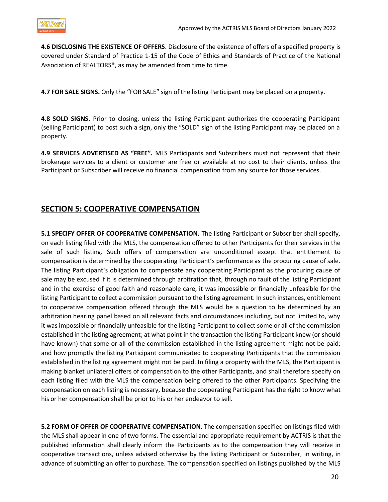**4.6 DISCLOSING THE EXISTENCE OF OFFERS**. Disclosure of the existence of offers of a specified property is covered under Standard of Practice 1-15 of the Code of Ethics and Standards of Practice of the National Association of REALTORS®, as may be amended from time to time.

**4.7 FOR SALE SIGNS.** Only the "FOR SALE" sign of the listing Participant may be placed on a property.

**4.8 SOLD SIGNS.** Prior to closing, unless the listing Participant authorizes the cooperating Participant (selling Participant) to post such a sign, only the "SOLD" sign of the listing Participant may be placed on a property.

**4.9 SERVICES ADVERTISED AS "FREE".** MLS Participants and Subscribers must not represent that their brokerage services to a client or customer are free or available at no cost to their clients, unless the Participant or Subscriber will receive no financial compensation from any source for those services.

## <span id="page-19-0"></span>**SECTION 5: COOPERATIVE COMPENSATION**

**5.1 SPECIFY OFFER OF COOPERATIVE COMPENSATION.** The listing Participant or Subscriber shall specify, on each listing filed with the MLS, the compensation offered to other Participants for their services in the sale of such listing. Such offers of compensation are unconditional except that entitlement to compensation is determined by the cooperating Participant's performance as the procuring cause of sale. The listing Participant's obligation to compensate any cooperating Participant as the procuring cause of sale may be excused if it is determined through arbitration that, through no fault of the listing Participant and in the exercise of good faith and reasonable care, it was impossible or financially unfeasible for the listing Participant to collect a commission pursuant to the listing agreement. In such instances, entitlement to cooperative compensation offered through the MLS would be a question to be determined by an arbitration hearing panel based on all relevant facts and circumstances including, but not limited to, why it was impossible or financially unfeasible for the listing Participant to collect some or all of the commission established in the listing agreement; at what point in the transaction the listing Participant knew (or should have known) that some or all of the commission established in the listing agreement might not be paid; and how promptly the listing Participant communicated to cooperating Participants that the commission established in the listing agreement might not be paid. In filing a property with the MLS, the Participant is making blanket unilateral offers of compensation to the other Participants, and shall therefore specify on each listing filed with the MLS the compensation being offered to the other Participants. Specifying the compensation on each listing is necessary, because the cooperating Participant has the right to know what his or her compensation shall be prior to his or her endeavor to sell.

**5.2 FORM OF OFFER OF COOPERATIVE COMPENSATION.** The compensation specified on listings filed with the MLS shall appear in one of two forms. The essential and appropriate requirement by ACTRIS is that the published information shall clearly inform the Participants as to the compensation they will receive in cooperative transactions, unless advised otherwise by the listing Participant or Subscriber, in writing, in advance of submitting an offer to purchase. The compensation specified on listings published by the MLS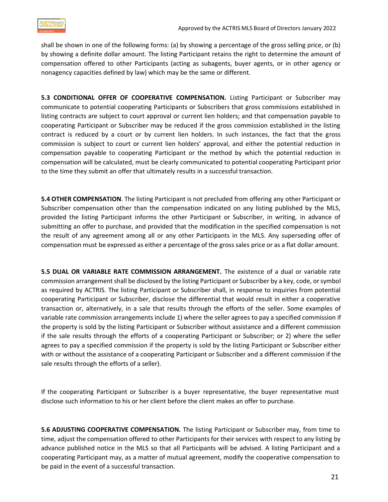shall be shown in one of the following forms: (a) by showing a percentage of the gross selling price, or (b) by showing a definite dollar amount. The listing Participant retains the right to determine the amount of compensation offered to other Participants (acting as subagents, buyer agents, or in other agency or nonagency capacities defined by law) which may be the same or different.

**5.3 CONDITIONAL OFFER OF COOPERATIVE COMPENSATION.** Listing Participant or Subscriber may communicate to potential cooperating Participants or Subscribers that gross commissions established in listing contracts are subject to court approval or current lien holders; and that compensation payable to cooperating Participant or Subscriber may be reduced if the gross commission established in the listing contract is reduced by a court or by current lien holders. In such instances, the fact that the gross commission is subject to court or current lien holders' approval, and either the potential reduction in compensation payable to cooperating Participant or the method by which the potential reduction in compensation will be calculated, must be clearly communicated to potential cooperating Participant prior to the time they submit an offer that ultimately results in a successful transaction.

**5.4 OTHER COMPENSATION**. The listing Participant is not precluded from offering any other Participant or Subscriber compensation other than the compensation indicated on any listing published by the MLS, provided the listing Participant informs the other Participant or Subscriber, in writing, in advance of submitting an offer to purchase, and provided that the modification in the specified compensation is not the result of any agreement among all or any other Participants in the MLS. Any superseding offer of compensation must be expressed as either a percentage of the gross sales price or as a flat dollar amount.

**5.5 DUAL OR VARIABLE RATE COMMISSION ARRANGEMENT.** The existence of a dual or variable rate commission arrangement shall be disclosed by the listing Participant or Subscriber by a key, code, or symbol as required by ACTRIS. The listing Participant or Subscriber shall, in response to inquiries from potential cooperating Participant or Subscriber, disclose the differential that would result in either a cooperative transaction or, alternatively, in a sale that results through the efforts of the seller. Some examples of variable rate commission arrangements include 1) where the seller agrees to pay a specified commission if the property is sold by the listing Participant or Subscriber without assistance and a different commission if the sale results through the efforts of a cooperating Participant or Subscriber; or 2) where the seller agrees to pay a specified commission if the property is sold by the listing Participant or Subscriber either with or without the assistance of a cooperating Participant or Subscriber and a different commission if the sale results through the efforts of a seller).

If the cooperating Participant or Subscriber is a buyer representative, the buyer representative must disclose such information to his or her client before the client makes an offer to purchase.

**5.6 ADJUSTING COOPERATIVE COMPENSATION.** The listing Participant or Subscriber may, from time to time, adjust the compensation offered to other Participants for their services with respect to any listing by advance published notice in the MLS so that all Participants will be advised. A listing Participant and a cooperating Participant may, as a matter of mutual agreement, modify the cooperative compensation to be paid in the event of a successful transaction.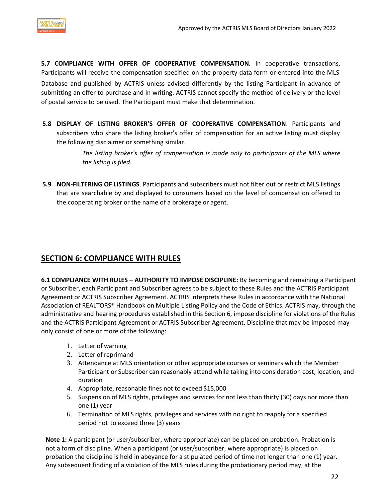

**5.7 COMPLIANCE WITH OFFER OF COOPERATIVE COMPENSATION.** In cooperative transactions, Participants will receive the compensation specified on the property data form or entered into the MLS Database and published by ACTRIS unless advised differently by the listing Participant in advance of submitting an offer to purchase and in writing. ACTRIS cannot specify the method of delivery or the level of postal service to be used. The Participant must make that determination.

**5.8 DISPLAY OF LISTING BROKER'S OFFER OF COOPERATIVE COMPENSATION**. Participants and subscribers who share the listing broker's offer of compensation for an active listing must display the following disclaimer or something similar.

> *The listing broker's offer of compensation is made only to participants of the MLS where the listing is filed.*

**5.9 NON-FILTERING OF LISTINGS**. Participants and subscribers must not filter out or restrict MLS listings that are searchable by and displayed to consumers based on the level of compensation offered to the cooperating broker or the name of a brokerage or agent.

## <span id="page-21-0"></span>**SECTION 6: COMPLIANCE WITH RULES**

**6.1 COMPLIANCE WITH RULES – AUTHORITY TO IMPOSE DISCIPLINE:** By becoming and remaining a Participant or Subscriber, each Participant and Subscriber agrees to be subject to these Rules and the ACTRIS Participant Agreement or ACTRIS Subscriber Agreement. ACTRIS interprets these Rules in accordance with the National Association of REALTORS® Handbook on Multiple Listing Policy and the Code of Ethics. ACTRIS may, through the administrative and hearing procedures established in this Section 6, impose discipline for violations of the Rules and the ACTRIS Participant Agreement or ACTRIS Subscriber Agreement. Discipline that may be imposed may only consist of one or more of the following:

- 1. Letter of warning
- 2. Letter of reprimand
- 3. Attendance at MLS orientation or other appropriate courses or seminars which the Member Participant or Subscriber can reasonably attend while taking into consideration cost, location, and duration
- 4. Appropriate, reasonable fines not to exceed \$15,000
- 5. Suspension of MLS rights, privileges and services for not less than thirty (30) days nor more than one (1) year
- 6. Termination of MLS rights, privileges and services with no right to reapply for a specified period not to exceed three (3) years

**Note 1:** A participant (or user/subscriber, where appropriate) can be placed on probation. Probation is not a form of discipline. When a participant (or user/subscriber, where appropriate) is placed on probation the discipline is held in abeyance for a stipulated period of time not longer than one (1) year. Any subsequent finding of a violation of the MLS rules during the probationary period may, at the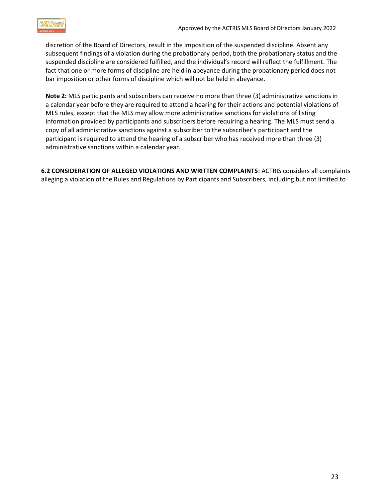

discretion of the Board of Directors, result in the imposition of the suspended discipline. Absent any subsequent findings of a violation during the probationary period, both the probationary status and the suspended discipline are considered fulfilled, and the individual's record will reflect the fulfillment. The fact that one or more forms of discipline are held in abeyance during the probationary period does not bar imposition or other forms of discipline which will not be held in abeyance.

**Note 2:** MLS participants and subscribers can receive no more than three (3) administrative sanctions in a calendar year before they are required to attend a hearing for their actions and potential violations of MLS rules, except that the MLS may allow more administrative sanctions for violations of listing information provided by participants and subscribers before requiring a hearing. The MLS must send a copy of all administrative sanctions against a subscriber to the subscriber's participant and the participant is required to attend the hearing of a subscriber who has received more than three (3) administrative sanctions within a calendar year.

**6.2 CONSIDERATION OF ALLEGED VIOLATIONS AND WRITTEN COMPLAINTS**: ACTRIS considers all complaints alleging a violation of the Rules and Regulations by Participants and Subscribers, including but not limited to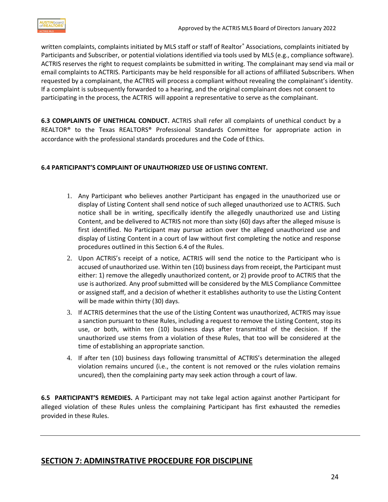

written complaints, complaints initiated by MLS staff or staff of Realtor® Associations, complaints initiated by Participants and Subscriber, or potential violations identified via tools used by MLS (e.g., compliance software). ACTRIS reserves the right to request complaints be submitted in writing. The complainant may send via mail or email complaints to ACTRIS. Participants may be held responsible for all actions of affiliated Subscribers. When requested by a complainant, the ACTRIS will process a compliant without revealing the complainant's identity. If a complaint is subsequently forwarded to a hearing, and the original complainant does not consent to participating in the process, the ACTRIS will appoint a representative to serve as the complainant.

**6.3 COMPLAINTS OF UNETHICAL CONDUCT.** ACTRIS shall refer all complaints of unethical conduct by a REALTOR® to the Texas REALTORS® Professional Standards Committee for appropriate action in accordance with the professional standards procedures and the Code of Ethics.

#### <span id="page-23-0"></span>**6.4 PARTICIPANT'S COMPLAINT OF UNAUTHORIZED USE OF LISTING CONTENT.**

- 1. Any Participant who believes another Participant has engaged in the unauthorized use or display of Listing Content shall send notice of such alleged unauthorized use to ACTRIS. Such notice shall be in writing, specifically identify the allegedly unauthorized use and Listing Content, and be delivered to ACTRIS not more than sixty (60) days after the alleged misuse is first identified. No Participant may pursue action over the alleged unauthorized use and display of Listing Content in a court of law without first completing the notice and response procedures outlined in this Section 6.4 of the Rules.
- 2. Upon ACTRIS's receipt of a notice, ACTRIS will send the notice to the Participant who is accused of unauthorized use. Within ten (10) business days from receipt, the Participant must either: 1) remove the allegedly unauthorized content, or 2) provide proof to ACTRIS that the use is authorized. Any proof submitted will be considered by the MLS Compliance Committee or assigned staff, and a decision of whether it establishes authority to use the Listing Content will be made within thirty (30) days.
- 3. If ACTRIS determines that the use of the Listing Content was unauthorized, ACTRIS may issue a sanction pursuant to these Rules, including a request to remove the Listing Content, stop its use, or both, within ten (10) business days after transmittal of the decision. If the unauthorized use stems from a violation of these Rules, that too will be considered at the time of establishing an appropriate sanction.
- 4. If after ten (10) business days following transmittal of ACTRIS's determination the alleged violation remains uncured (i.e., the content is not removed or the rules violation remains uncured), then the complaining party may seek action through a court of law.

**6.5 PARTICIPANT'S REMEDIES.** A Participant may not take legal action against another Participant for alleged violation of these Rules unless the complaining Participant has first exhausted the remedies provided in these Rules.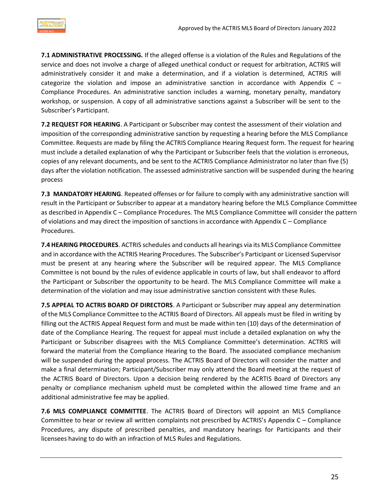**7.1 ADMINISTRATIVE PROCESSING.** If the alleged offense is a violation of the Rules and Regulations of the service and does not involve a charge of alleged unethical conduct or request for arbitration, ACTRIS will administratively consider it and make a determination, and if a violation is determined, ACTRIS will categorize the violation and impose an administrative sanction in accordance with Appendix C  $-$ Compliance Procedures. An administrative sanction includes a warning, monetary penalty, mandatory workshop, or suspension. A copy of all administrative sanctions against a Subscriber will be sent to the Subscriber's Participant.

**7.2 REQUEST FOR HEARING**. A Participant or Subscriber may contest the assessment of their violation and imposition of the corresponding administrative sanction by requesting a hearing before the MLS Compliance Committee. Requests are made by filing the ACTRIS Compliance Hearing Request form. The request for hearing must include a detailed explanation of why the Participant or Subscriber feels that the violation is erroneous, copies of any relevant documents, and be sent to the ACTRIS Compliance Administrator no later than five (5) days after the violation notification. The assessed administrative sanction will be suspended during the hearing process

**7.3 MANDATORY HEARING**. Repeated offenses or for failure to comply with any administrative sanction will result in the Participant or Subscriber to appear at a mandatory hearing before the MLS Compliance Committee as described in Appendix C – Compliance Procedures. The MLS Compliance Committee will consider the pattern of violations and may direct the imposition of sanctions in accordance with Appendix C – Compliance Procedures.

**7.4 HEARING PROCEDURES**. ACTRIS schedules and conducts all hearings via its MLS Compliance Committee and in accordance with the ACTRIS Hearing Procedures. The Subscriber's Participant or Licensed Supervisor must be present at any hearing where the Subscriber will be required appear. The MLS Compliance Committee is not bound by the rules of evidence applicable in courts of law, but shall endeavor to afford the Participant or Subscriber the opportunity to be heard. The MLS Compliance Committee will make a determination of the violation and may issue administrative sanction consistent with these Rules.

**7.5 APPEAL TO ACTRIS BOARD OF DIRECTORS**. A Participant or Subscriber may appeal any determination of the MLS Compliance Committee to the ACTRIS Board of Directors. All appeals must be filed in writing by filling out the ACTRIS Appeal Request form and must be made within ten (10) days of the determination of date of the Compliance Hearing. The request for appeal must include a detailed explanation on why the Participant or Subscriber disagrees with the MLS Compliance Committee's determination. ACTRIS will forward the material from the Compliance Hearing to the Board. The associated compliance mechanism will be suspended during the appeal process. The ACTRIS Board of Directors will consider the matter and make a final determination; Participant/Subscriber may only attend the Board meeting at the request of the ACTRIS Board of Directors. Upon a decision being rendered by the ACRTIS Board of Directors any penalty or compliance mechanism upheld must be completed within the allowed time frame and an additional administrative fee may be applied.

**7.6 MLS COMPLIANCE COMMITTEE**. The ACTRIS Board of Directors will appoint an MLS Compliance Committee to hear or review all written complaints not prescribed by ACTRIS's Appendix C – Compliance Procedures, any dispute of prescribed penalties, and mandatory hearings for Participants and their licensees having to do with an infraction of MLS Rules and Regulations.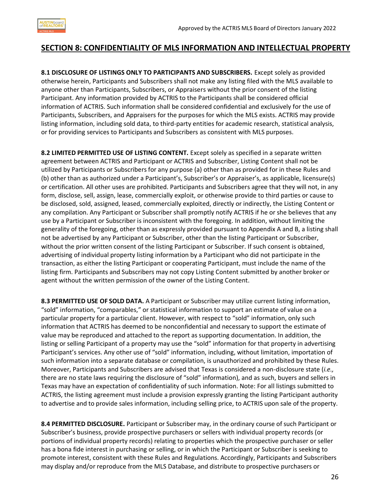

#### <span id="page-25-0"></span>**SECTION 8: CONFIDENTIALITY OF MLS INFORMATION AND INTELLECTUAL PROPERTY**

**8.1 DISCLOSURE OF LISTINGS ONLY TO PARTICIPANTS AND SUBSCRIBERS.** Except solely as provided otherwise herein, Participants and Subscribers shall not make any listing filed with the MLS available to anyone other than Participants, Subscribers, or Appraisers without the prior consent of the listing Participant. Any information provided by ACTRIS to the Participants shall be considered official information of ACTRIS. Such information shall be considered confidential and exclusively for the use of Participants, Subscribers, and Appraisers for the purposes for which the MLS exists. ACTRIS may provide listing information, including sold data, to third-party entities for academic research, statistical analysis, or for providing services to Participants and Subscribers as consistent with MLS purposes.

**8.2 LIMITED PERMITTED USE OF LISTING CONTENT.** Except solely as specified in a separate written agreement between ACTRIS and Participant or ACTRIS and Subscriber, Listing Content shall not be utilized by Participants or Subscribers for any purpose (a) other than as provided for in these Rules and (b) other than as authorized under a Participant's, Subscriber's or Appraiser's, as applicable, licensure(s) or certification. All other uses are prohibited. Participants and Subscribers agree that they will not, in any form, disclose, sell, assign, lease, commercially exploit, or otherwise provide to third parties or cause to be disclosed, sold, assigned, leased, commercially exploited, directly or indirectly, the Listing Content or any compilation. Any Participant or Subscriber shall promptly notify ACTRIS if he or she believes that any use by a Participant or Subscriber is inconsistent with the foregoing. In addition, without limiting the generality of the foregoing, other than as expressly provided pursuant to Appendix A and B, a listing shall not be advertised by any Participant or Subscriber, other than the listing Participant or Subscriber, without the prior written consent of the listing Participant or Subscriber. If such consent is obtained, advertising of individual property listing information by a Participant who did not participate in the transaction, as either the listing Participant or cooperating Participant, must include the name of the listing firm. Participants and Subscribers may not copy Listing Content submitted by another broker or agent without the written permission of the owner of the Listing Content.

**8.3 PERMITTED USE OF SOLD DATA.** A Participant or Subscriber may utilize current listing information, "sold" information, "comparables," or statistical information to support an estimate of value on a particular property for a particular client. However, with respect to "sold" information, only such information that ACTRIS has deemed to be nonconfidential and necessary to support the estimate of value may be reproduced and attached to the report as supporting documentation. In addition, the listing or selling Participant of a property may use the "sold" information for that property in advertising Participant's services. Any other use of "sold" information, including, without limitation, importation of such information into a separate database or compilation, is unauthorized and prohibited by these Rules. Moreover, Participants and Subscribers are advised that Texas is considered a non-disclosure state (*i.e.,* there are no state laws requiring the disclosure of "sold" information), and as such, buyers and sellers in Texas may have an expectation of confidentiality of such information. Note: For all listings submitted to ACTRIS, the listing agreement must include a provision expressly granting the listing Participant authority to advertise and to provide sales information, including selling price, to ACTRIS upon sale of the property.

**8.4 PERMITTED DISCLOSURE.** Participant or Subscriber may, in the ordinary course ofsuch Participant or Subscriber's business, provide prospective purchasers or sellers with individual property records (or portions of individual property records) relating to properties which the prospective purchaser or seller has a bona fide interest in purchasing or selling, or in which the Participant or Subscriber is seeking to promote interest, consistent with these Rules and Regulations. Accordingly, Participants and Subscribers may display and/or reproduce from the MLS Database, and distribute to prospective purchasers or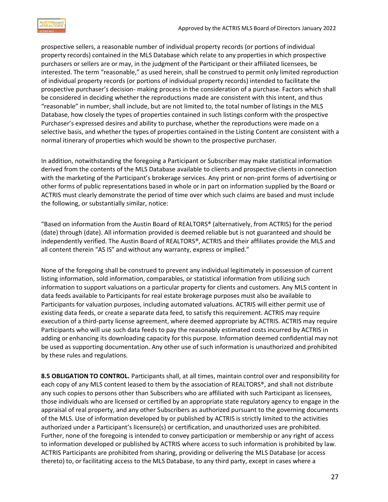

prospective sellers, a reasonable number of individual property records (or portions of individual property records) contained in the MLS Database which relate to any properties in which prospective purchasers or sellers are or may, in the judgment of the Participant or their affiliated licensees, be interested. The term "reasonable," as used herein, shall be construed to permit only limited reproduction of individual property records (or portions of individual property records) intended to facilitate the prospective purchaser's decision- making process in the consideration of a purchase. Factors which shall be considered in deciding whether the reproductions made are consistent with this intent, and thus "reasonable" in number, shall include, but are not limited to, the total number of listings in the MLS Database, how closely the types of properties contained in such listings conform with the prospective Purchaser's expressed desires and ability to purchase, whether the reproductions were made on a selective basis, and whether the types of properties contained in the Listing Content are consistent with a normal itinerary of properties which would be shown to the prospective purchaser.

In addition, notwithstanding the foregoing a Participant or Subscriber may make statistical information derived from the contents of the MLS Database available to clients and prospective clients in connection with the marketing of the Participant's brokerage services. Any print or non-print forms of advertising or other forms of public representations based in whole or in part on information supplied by the Board or ACTRIS must clearly demonstrate the period of time over which such claims are based and must include the following, or substantially similar, notice:

"Based on information from the Austin Board of REALTORS® (alternatively, from ACTRIS) for the period (date) through (date). All information provided is deemed reliable but is not guaranteed and should be independently verified. The Austin Board of REALTORS®, ACTRIS and their affiliates provide the MLS and all content therein "AS IS" and without any warranty, express or implied."

None of the foregoing shall be construed to prevent any individual legitimately in possession of current listing information, sold information, comparables, or statistical information from utilizing such information to support valuations on a particular property for clients and customers. Any MLS content in data feeds available to Participants for real estate brokerage purposes must also be available to Participants for valuation purposes, including automated valuations. ACTRIS will either permit use of existing data feeds, or create a separate data feed, to satisfy this requirement. ACTRIS may require execution of a third-party license agreement, where deemed appropriate by ACTRIS. ACTRIS may require Participants who will use such data feeds to pay the reasonably estimated costs incurred by ACTRIS in adding or enhancing its downloading capacity for this purpose. Information deemed confidential may not be used as supporting documentation. Any other use of such information is unauthorized and prohibited by these rules and regulations.

**8.5 OBLIGATION TO CONTROL.** Participants shall, at all times, maintain control over and responsibility for each copy of any MLS content leased to them by the association of REALTORS®, and shall not distribute any such copies to persons other than Subscribers who are affiliated with such Participant as licensees, those individuals who are licensed or certified by an appropriate state regulatory agency to engage in the appraisal of real property, and any other Subscribers as authorized pursuant to the governing documents of the MLS. Use of information developed by or published by ACTRIS is strictly limited to the activities authorized under a Participant's licensure(s) or certification, and unauthorized uses are prohibited. Further, none of the foregoing is intended to convey participation or membership or any right of access to information developed or published by ACTRIS where access to such information is prohibited by law. ACTRIS Participants are prohibited from sharing, providing or delivering the MLS Database (or access thereto) to, or facilitating access to the MLS Database, to any third party, except in cases where a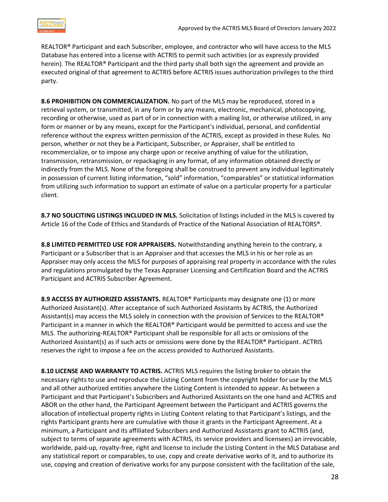REALTOR® Participant and each Subscriber, employee, and contractor who will have access to the MLS Database has entered into a license with ACTRIS to permit such activities (or as expressly provided herein). The REALTOR® Participant and the third party shall both sign the agreement and provide an executed original of that agreement to ACTRIS before ACTRIS issues authorization privileges to the third party.

**8.6 PROHIBITION ON COMMERCIALIZATION.** No part of the MLS may be reproduced, stored in a retrieval system, or transmitted, in any form or by any means, electronic, mechanical, photocopying, recording or otherwise, used as part of or in connection with a mailing list, or otherwise utilized, in any form or manner or by any means, except for the Participant's individual, personal, and confidential reference without the express written permission of the ACTRIS, except as provided in these Rules. No person, whether or not they be a Participant, Subscriber, or Appraiser, shall be entitled to recommercialize, or to impose any charge upon or receive anything of value for the utilization, transmission, retransmission, or repackaging in any format, of any information obtained directly or indirectly from the MLS. None of the foregoing shall be construed to prevent any individual legitimately in possession of current listing information, "sold" information, "comparables" or statistical information from utilizing such information to support an estimate of value on a particular property for a particular client.

**8.7 NO SOLICITING LISTINGS INCLUDED IN MLS.** Solicitation of listings included in the MLS is covered by Article 16 of the Code of Ethics and Standards of Practice of the National Association of REALTORS®.

**8.8 LIMITED PERMITTED USE FOR APPRAISERS.** Notwithstanding anything herein to the contrary, a Participant or a Subscriber that is an Appraiser and that accesses the MLS in his or her role as an Appraiser may only access the MLS for purposes of appraising real property in accordance with the rules and regulations promulgated by the Texas Appraiser Licensing and Certification Board and the ACTRIS Participant and ACTRIS Subscriber Agreement.

**8.9 ACCESS BY AUTHORIZED ASSISTANTS.** REALTOR® Participants may designate one (1) or more Authorized Assistant(s). After acceptance of such Authorized Assistants by ACTRIS, the Authorized Assistant(s) may access the MLS solely in connection with the provision of Services to the REALTOR® Participant in a manner in which the REALTOR® Participant would be permitted to access and use the MLS. The authorizing-REALTOR® Participant shall be responsible for all acts or omissions of the Authorized Assistant(s) as if such acts or omissions were done by the REALTOR® Participant. ACTRIS reserves the right to impose a fee on the access provided to Authorized Assistants.

**8.10 LICENSE AND WARRANTY TO ACTRIS.** ACTRIS MLS requires the listing broker to obtain the necessary rights to use and reproduce the Listing Content from the copyright holder for use by the MLS and all other authorized entities anywhere the Listing Content is intended to appear. As between a Participant and that Participant's Subscribers and Authorized Assistants on the one hand and ACTRIS and ABOR on the other hand, the Participant Agreement between the Participant and ACTRIS governs the allocation of intellectual property rights in Listing Content relating to that Participant's listings, and the rights Participant grants here are cumulative with those it grants in the Participant Agreement. At a minimum, a Participant and its affiliated Subscribers and Authorized Assistants grant to ACTRIS (and, subject to terms of separate agreements with ACTRIS, its service providers and licensees) an irrevocable, worldwide, paid-up, royalty-free, right and license to include the Listing Content in the MLS Database and any statistical report or comparables, to use, copy and create derivative works of it, and to authorize its use, copying and creation of derivative works for any purpose consistent with the facilitation of the sale,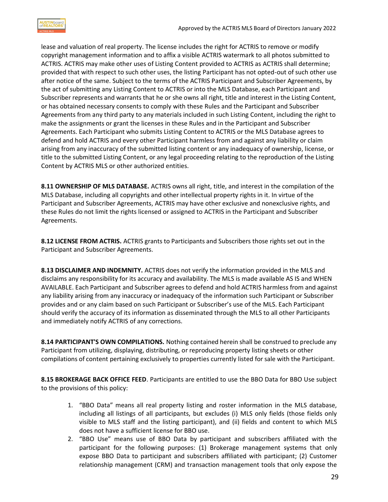

lease and valuation of real property. The license includes the right for ACTRIS to remove or modify copyright management information and to affix a visible ACTRIS watermark to all photos submitted to ACTRIS. ACTRIS may make other uses of Listing Content provided to ACTRIS as ACTRIS shall determine; provided that with respect to such other uses, the listing Participant has not opted-out of such other use after notice of the same. Subject to the terms of the ACTRIS Participant and Subscriber Agreements, by the act of submitting any Listing Content to ACTRIS or into the MLS Database, each Participant and Subscriber represents and warrants that he or she owns all right, title and interest in the Listing Content, or has obtained necessary consents to comply with these Rules and the Participant and Subscriber Agreements from any third party to any materials included in such Listing Content, including the right to make the assignments or grant the licenses in these Rules and in the Participant and Subscriber Agreements. Each Participant who submits Listing Content to ACTRIS or the MLS Database agrees to defend and hold ACTRIS and every other Participant harmless from and against any liability or claim arising from any inaccuracy of the submitted listing content or any inadequacy of ownership, license, or title to the submitted Listing Content, or any legal proceeding relating to the reproduction of the Listing Content by ACTRIS MLS or other authorized entities.

**8.11 OWNERSHIP OF MLS DATABASE.** ACTRIS owns all right, title, and interest in the compilation of the MLS Database, including all copyrights and other intellectual property rights in it. In virtue of the Participant and Subscriber Agreements, ACTRIS may have other exclusive and nonexclusive rights, and these Rules do not limit the rights licensed or assigned to ACTRIS in the Participant and Subscriber Agreements.

**8.12 LICENSE FROM ACTRIS.** ACTRIS grants to Participants and Subscribers those rights set out in the Participant and Subscriber Agreements.

**8.13 DISCLAIMER AND INDEMNITY.** ACTRIS does not verify the information provided in the MLS and disclaims any responsibility for its accuracy and availability. The MLS is made available AS IS and WHEN AVAILABLE. Each Participant and Subscriber agrees to defend and hold ACTRIS harmless from and against any liability arising from any inaccuracy or inadequacy of the information such Participant or Subscriber provides and or any claim based on such Participant or Subscriber's use of the MLS. Each Participant should verify the accuracy of its information as disseminated through the MLS to all other Participants and immediately notify ACTRIS of any corrections.

**8.14 PARTICIPANT'S OWN COMPILATIONS.** Nothing contained herein shall be construed to preclude any Participant from utilizing, displaying, distributing, or reproducing property listing sheets or other compilations of content pertaining exclusively to properties currently listed for sale with the Participant.

**8.15 BROKERAGE BACK OFFICE FEED**. Participants are entitled to use the BBO Data for BBO Use subject to the provisions of this policy:

- 1. "BBO Data" means all real property listing and roster information in the MLS database, including all listings of all participants, but excludes (i) MLS only fields (those fields only visible to MLS staff and the listing participant), and (ii) fields and content to which MLS does not have a sufficient license for BBO use.
- 2. "BBO Use" means use of BBO Data by participant and subscribers affiliated with the participant for the following purposes: (1) Brokerage management systems that only expose BBO Data to participant and subscribers affiliated with participant; (2) Customer relationship management (CRM) and transaction management tools that only expose the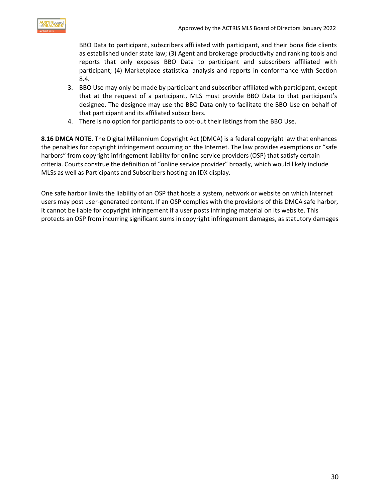

BBO Data to participant, subscribers affiliated with participant, and their bona fide clients as established under state law; (3) Agent and brokerage productivity and ranking tools and reports that only exposes BBO Data to participant and subscribers affiliated with participant; (4) Marketplace statistical analysis and reports in conformance with Section 8.4.

- 3. BBO Use may only be made by participant and subscriber affiliated with participant, except that at the request of a participant, MLS must provide BBO Data to that participant's designee. The designee may use the BBO Data only to facilitate the BBO Use on behalf of that participant and its affiliated subscribers.
- 4. There is no option for participants to opt-out their listings from the BBO Use.

**8.16 DMCA NOTE.** The Digital Millennium Copyright Act (DMCA) is a federal copyright law that enhances the penalties for copyright infringement occurring on the Internet. The law provides exemptions or "safe harbors" from copyright infringement liability for online service providers (OSP) that satisfy certain criteria. Courts construe the definition of "online service provider" broadly, which would likely include MLSs as well as Participants and Subscribers hosting an IDX display.

One safe harbor limits the liability of an OSP that hosts a system, network or website on which Internet users may post user-generated content. If an OSP complies with the provisions of this DMCA safe harbor, it cannot be liable for copyright infringement if a user posts infringing material on its website. This protects an OSP from incurring significant sums in copyright infringement damages, as statutory damages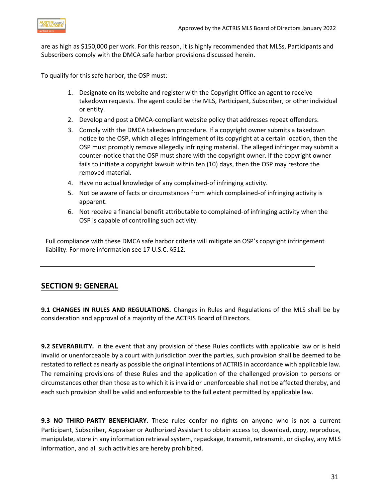

are as high as \$150,000 per work. For this reason, it is highly recommended that MLSs, Participants and Subscribers comply with the DMCA safe harbor provisions discussed herein.

To qualify for this safe harbor, the OSP must:

- 1. Designate on its website and register with the Copyright Office an agent to receive takedown requests. The agent could be the MLS, Participant, Subscriber, or other individual or entity.
- 2. Develop and post a DMCA-compliant website policy that addresses repeat offenders.
- 3. Comply with the DMCA takedown procedure. If a copyright owner submits a takedown notice to the OSP, which alleges infringement of its copyright at a certain location, then the OSP must promptly remove allegedly infringing material. The alleged infringer may submit a counter-notice that the OSP must share with the copyright owner. If the copyright owner fails to initiate a copyright lawsuit within ten (10) days, then the OSP may restore the removed material.
- 4. Have no actual knowledge of any complained-of infringing activity.
- 5. Not be aware of facts or circumstances from which complained-of infringing activity is apparent.
- 6. Not receive a financial benefit attributable to complained-of infringing activity when the OSP is capable of controlling such activity.

Full compliance with these DMCA safe harbor criteria will mitigate an OSP's copyright infringement liability. For more information see 17 U.S.C. §512.

#### <span id="page-30-0"></span>**SECTION 9: GENERAL**

**9.1 CHANGES IN RULES AND REGULATIONS.** Changes in Rules and Regulations of the MLS shall be by consideration and approval of a majority of the ACTRIS Board of Directors.

**9.2 SEVERABILITY.** In the event that any provision of these Rules conflicts with applicable law or is held invalid or unenforceable by a court with jurisdiction over the parties, such provision shall be deemed to be restated to reflect as nearly as possible the original intentions of ACTRIS in accordance with applicable law. The remaining provisions of these Rules and the application of the challenged provision to persons or circumstances other than those as to which it is invalid or unenforceable shall not be affected thereby, and each such provision shall be valid and enforceable to the full extent permitted by applicable law.

**9.3 NO THIRD-PARTY BENEFICIARY.** These rules confer no rights on anyone who is not a current Participant, Subscriber, Appraiser or Authorized Assistant to obtain access to, download, copy, reproduce, manipulate, store in any information retrieval system, repackage, transmit, retransmit, or display, any MLS information, and all such activities are hereby prohibited.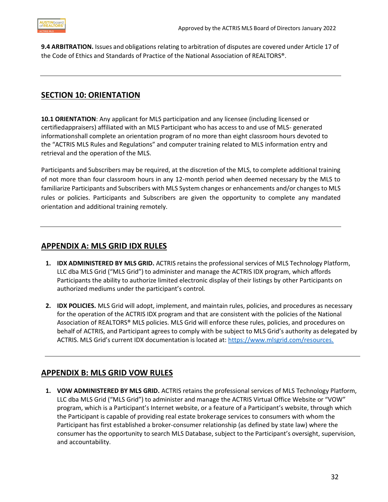

**9.4 ARBITRATION.** Issues and obligations relating to arbitration of disputes are covered under Article 17 of the Code of Ethics and Standards of Practice of the National Association of REALTORS®.

#### <span id="page-31-0"></span>**SECTION 10: ORIENTATION**

**10.1 ORIENTATION**: Any applicant for MLS participation and any licensee (including licensed or certifiedappraisers) affiliated with an MLS Participant who has access to and use of MLS- generated informationshall complete an orientation program of no more than eight classroom hours devoted to the "ACTRIS MLS Rules and Regulations" and computer training related to MLS information entry and retrieval and the operation of the MLS.

Participants and Subscribers may be required, at the discretion of the MLS, to complete additional training of not more than four classroom hours in any 12-month period when deemed necessary by the MLS to familiarize Participants and Subscribers with MLS Systemchanges or enhancements and/or changes to MLS rules or policies. Participants and Subscribers are given the opportunity to complete any mandated orientation and additional training remotely.

#### <span id="page-31-1"></span>**APPENDIX A: MLS GRID IDX RULES**

- **1. IDX ADMINISTERED BY MLS GRID.** ACTRIS retains the professional services of MLS Technology Platform, LLC dba MLS Grid ("MLS Grid") to administer and manage the ACTRIS IDX program, which affords Participants the ability to authorize limited electronic display of their listings by other Participants on authorized mediums under the participant's control*.*
- **2. IDX POLICIES.** MLS Grid will adopt, implement, and maintain rules, policies, and procedures as necessary for the operation of the ACTRIS IDX program and that are consistent with the policies of the National Association of REALTORS® MLS policies. MLS Grid will enforce these rules, policies, and procedures on behalf of ACTRIS, and Participant agrees to comply with be subject to MLS Grid's authority as delegated by ACTRIS. MLS Grid's current IDX documentation is located at: [https://www.mlsgrid.com/resources.](https://www.mlsgrid.com/resources)

#### <span id="page-31-2"></span>**APPENDIX B: MLS GRID VOW RULES**

**1. VOW ADMINISTERED BY MLS GRID.** ACTRIS retains the professional services of MLS Technology Platform, LLC dba MLS Grid ("MLS Grid") to administer and manage the ACTRIS Virtual Office Website or "VOW" program, which is a Participant's Internet website, or a feature of a Participant's website, through which the Participant is capable of providing real estate brokerage services to consumers with whom the Participant has first established a broker-consumer relationship (as defined by state law) where the consumer has the opportunity to search MLS Database, subject to the Participant's oversight, supervision, and accountability.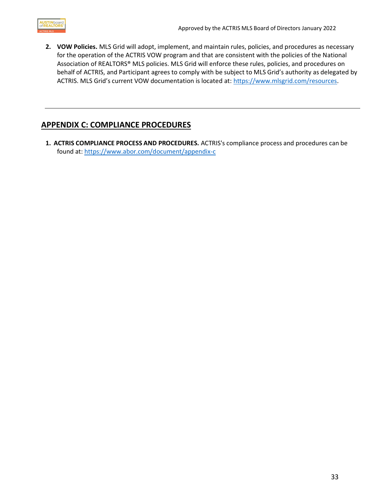

**2. VOW Policies.** MLS Grid will adopt, implement, and maintain rules, policies, and procedures as necessary for the operation of the ACTRIS VOW program and that are consistent with the policies of the National Association of REALTORS® MLS policies. MLS Grid will enforce these rules, policies, and procedures on behalf of ACTRIS, and Participant agrees to comply with be subject to MLS Grid's authority as delegated by ACTRIS. MLS Grid's current VOW documentation is located at: [https://www.mlsgrid.com/resources.](https://www.mlsgrid.com/resources)

## <span id="page-32-0"></span>**APPENDIX C: COMPLIANCE PROCEDURES**

**1. ACTRIS COMPLIANCE PROCESS AND PROCEDURES.** ACTRIS's compliance process and procedures can be found at: <https://www.abor.com/document/appendix-c>